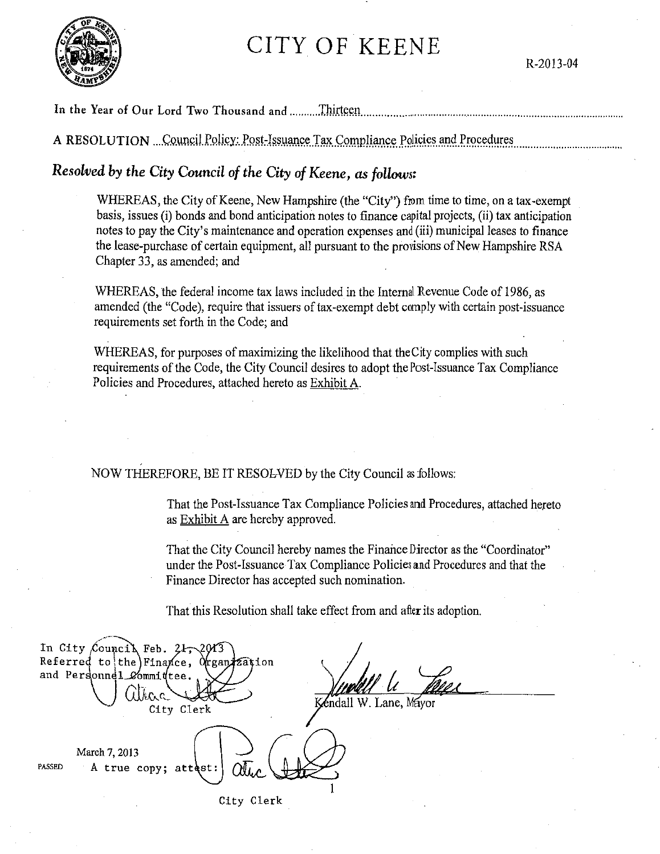# CITY OF KEENE



R-2013-04

### In the Year of Our Lord Two Thousand and ............Thirteen

A RESOLUTION ...Council Policy: Post-Issuance Tax Compliance Policies and Procedures

# *Resolved by the City Council of the City of Keene, as follows:*

WHEREAS, the City of Keene, New Hampshire (the "City") from time to time, on a tax-exempt basis, issues (i) bonds and bond anticipation notes to finance capital projects, (ii) tax anticipation notes to pay the City's maintenance and operation expenses and (iii) municipal leases to finance the lease-purchase of certain equipment, all pursuant to the provisions of New Hampshire RSA Chapter 33, as amended; and

WHEREAS, the federal income tax laws included in the Internal Revenue Code of 1986, as amended (the "Code), require that issuers of tax-exempt debt comply with certain post-issuance requirements set forth in the Code; and

WHEREAS, for purposes of maximizing the likelihood that the City complies with such requirements of the Code, the City Council desires to adopt the Post-Issuance Tax Compliance Policies and Procedures, attached hereto as Exhibit A.

NOW THEREFORE, BE IT RESOLVED by the City Council as follows:

That the Post-Issuance Tax Compliance Policies and Procedures, attached hereto as Exhibit A are hereby approved.

That the City Council hereby names the Finance Director as the "Coordinator" under the Post-Issuance Tax Compliance Policies and Procedures and that the Finance Director has accepted such nomination.

That this Resolution shall take effect from and after its adoption.

| In City Council Feb. $247-2013$                 |            |                 |
|-------------------------------------------------|------------|-----------------|
| Referred to the Finance, Organization           |            |                 |
| and Personnel_Committee.                        |            |                 |
| k c                                             |            |                 |
|                                                 | City Clerk | éndall W. Lane, |
|                                                 |            |                 |
| March 7, 2013<br>PASSED<br>A true copy; attest: |            |                 |
|                                                 | City Clerk |                 |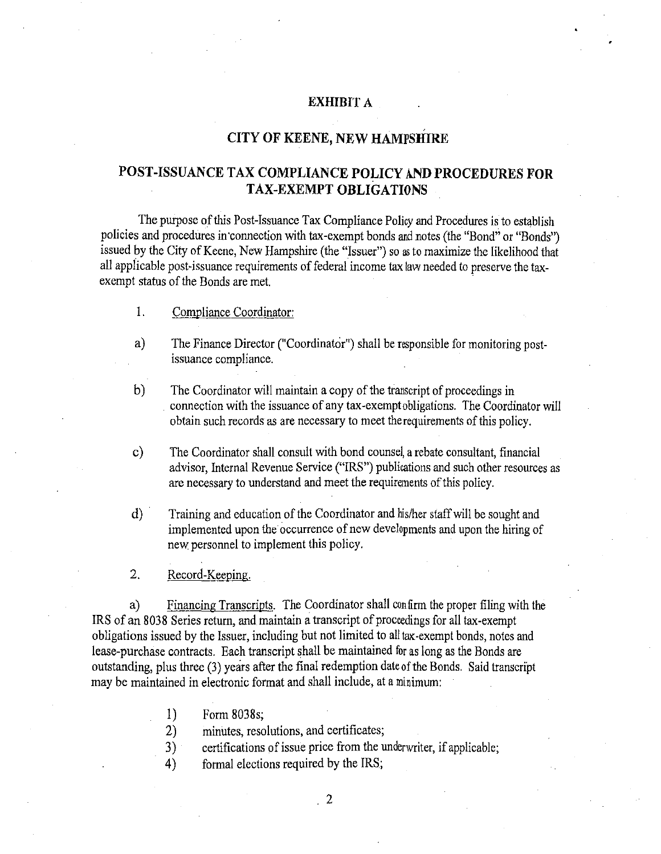#### **EXHIBIT A**

#### **CITY OF KEENE, NEW HAMPSHIRE**

## **POST-ISSUANCE TAX COMPLIANCE POLICY AND PROCEDURES FOR TAX-EXEMPT OBLIGATIONS**

The purpose of this Post-Issuance Tax Compliance Policy and Procedures is to establish policies and procedures in connection with tax-exempt bonds and notes (the "Bond" or "Bonds") issued by the City of Keene, New Hampshire (the "Issuer") so as to maximize the likelihood that all applicable post-issuance requirements of federal income tax law needed to preserve the taxexempt status of the Bonds are met.

- 1. Compliance Coordinator:
- a) The Finance Director ("Coordinator") shall be responsible for monitoring postissuance compliance.
- b) The Coordinator will maintain a copy of the transcript of proceedings in connection with the issuance of any tax -exempt obligations. The Coordinator will obtain such records as are necessary to meet the requirements of this policy.
- c) The Coordinator shall consult with bond counsel, a rebate consultant, financial advisor, Internal Revenue Service ("IRS") publications and such other resources as are necessary to understand and meet the requirements of this policy.
- d) · Training and education of the Coordinator and his/her staff will be sought and implemented upon the occurrence of new developments and upon the hiring of new personnel to implement this policy.
- 2. Record-Keeping.

a) Financing Transcripts. The Coordinator shall confirm the proper filing with the IRS of an 8038 Series return, and maintain a transcript of proceedings for all tax-exempt obligations issued by the Issuer, including but not limited to all tax-exempt bonds, notes and lease-purchase contracts. Each transcript shall be maintained for as long as the Bonds are outstanding, plus three (3) years after the final redemption dateofthe Bonds. Said transcript may be maintained in electronic format and shall include, at a minimum:

- 1) Form 8038s;
- 2) minutes, resolutions, and certificates;
- 3) certifications of issue price from the underwriter, if applicable;
- 4) formal elections required by the IRS;

 $\frac{2}{2}$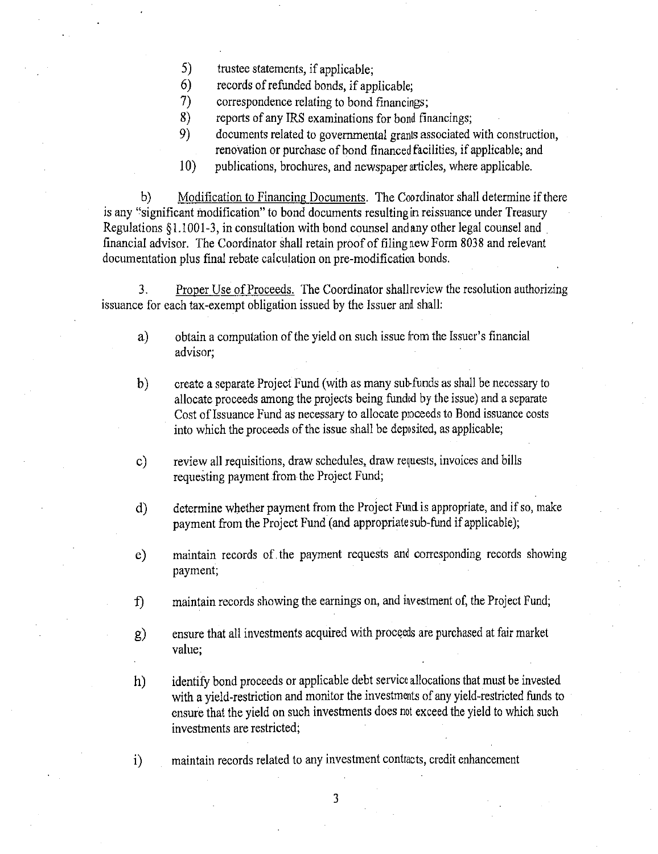- 5) trustee statements, if applicable;
- 
- 6) records of refunded bonds, if applicable;<br>
7) orrespondence relating to bond financing 7) correspondence relating to bond financings;
- 8) reports of any IRS examinations for bond financings;
- 9) documents related to governmental grants associated with construction, renovation or purchase of bond financed facilities, if applicable; and
- 10) publications, brochures, and newspaper articles, where applicable.

b) Modification to Financing Documents. The Coordinator shall determine if there is any "significant modification" to bond documents resulting in reissuance under Treasury Regulations § 1.1001-3, in consultation with bond counsel and any other legal counsel and financial advisor. The Coordinator shall retain proof of filing new Form 8038 and relevant documentation plus final rebate calculation on pre-modification bonds.

3. Proper Use of Proceeds. The Coordinator shall review the resolution authorizing issuance for each tax -exempt obligation issued by the Issuer and shall:

- a) obtain a computation of the yield on such issue from the Issuer's financial advisor;
- b) create a separate Project Fund (with as many sub-funds as shall be necessary to allocate proceeds among the projects being funded by the issue) and a separate Cost of Issuance Fund as necessary to allocate proceeds to Bond issuance costs into which the proceeds of the issue shall be deposited, as applicable;
- c) review all requisitions, draw schedules, draw requests, invoices and bills requesting payment from the Project Fund;
- d) determine whether payment from the Project Fund is appropriate, and if so, make payment from the Project Fund (and appropriate sub-fund if applicable);
- e) maintain records of. the payment requests and corresponding records showing payment;
- f) maintain records showing the earnings on, and investment of, the Project Fund;
- g) ensure that all investments acquired with proceeds are purchased at fair market value;
- h) identify bond proceeds or applicable debt service allocations that must be invested with a yield-restriction and monitor the investments of any yield-restricted funds to ensure that the yield on such investments does not exceed the yield to which such investments are restricted;

i) maintain records related to any investment contracts, credit enhancement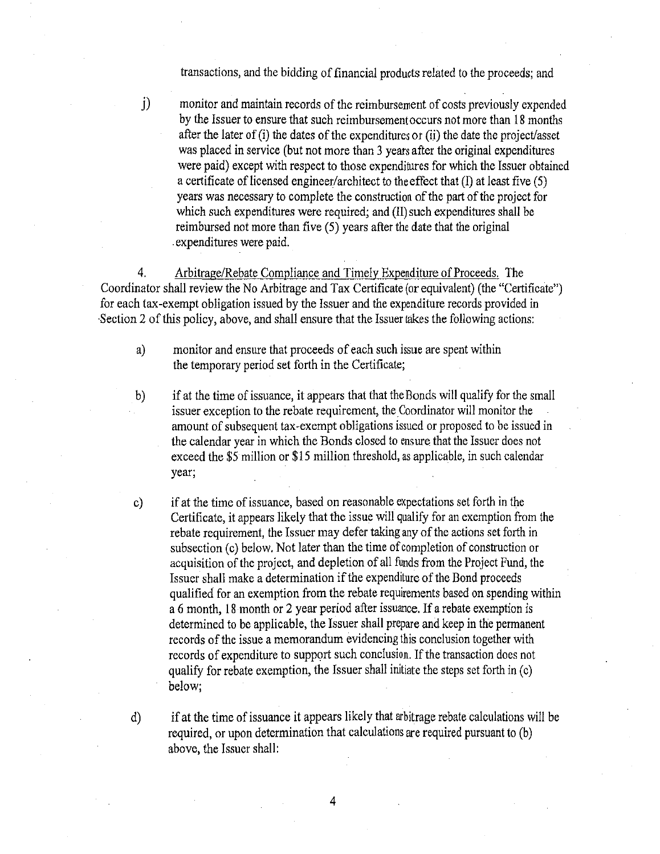transactions, and the bidding of financial products related to the proceeds; and

j) monitor and maintain records of the reimbursement of costs previously expended by the Issuer to ensure that such reimbursement occurs not more than 18 months after the later of (i) the dates of the expenditures or (ii) the date the project/asset was placed in service (but not more than 3 years after the original expenditures were paid) except with respect to those expenditures for which the Issuer obtained a certificate of licensed engineer/architect to the effect that  $(I)$  at least five  $(5)$ years was necessary to complete the construction of the part of the project for which such expenditures were required; and (II) such expenditures shall be reimbursed not more than five (5) years after the date that the original . expenditures were paid.

4. Arbitrage/Rebate Compliance and Timely Expenditure of Proceeds. The Coordinator shall review the No Arbitrage and Tax Certificate (or equivalent) (the "Certificate") for each tax-exempt obligation issued by the Issuer and the expenditure records provided in Section 2 of this policy, above, and shall ensure that the Issuer takes the following actions:

a) monitor and ensure that proceeds of each such issue are spent within the temporary period set forth in the Certificate;

b) if at the time of issuance, it appears that that the Bonds will qualify for the small issuer exception to the rebate requirement, the Coordinator will monitor the amount of subsequent tax-exempt obligations issued or proposed to be issued in the calendar year in which the Bonds closed to ensure that the Issuer does not exceed the \$5 million or \$15 million threshold, as applicable, in such calendar year;

c) if at the time of issuance, based on reasonable expectations set forth in the Certificate, it appears likely that the issue will qualify for an exemption from the rebate requirement, the Issuer may defer taking any of the actions set forth in subsection (c) below. Not later than the time of completion of construction or acquisition of the project, and depletion of all funds from the Project Fund, the Issuer shall make a determination if the expenditure of the Bond proceeds qualified for an exemption from the rebate requirements based on spending within a 6 month, 18 month or 2 year period after issuance. If a rebate exemption is determined to be applicable, the Issuer shall prepare and keep in the permanent records of the issue a memorandum evidencing this conclusion together with records of expenditure to support such conclusion. If the transaction does not qualify for rebate exemption, the Issuer shall initiate the steps set forth in  $(c)$ below;

d) if at the time of issuance it appears likely that arbitrage rebate calculations will be required, or upon determination that calculations are required pursuant to (b) above, the Issuer shall: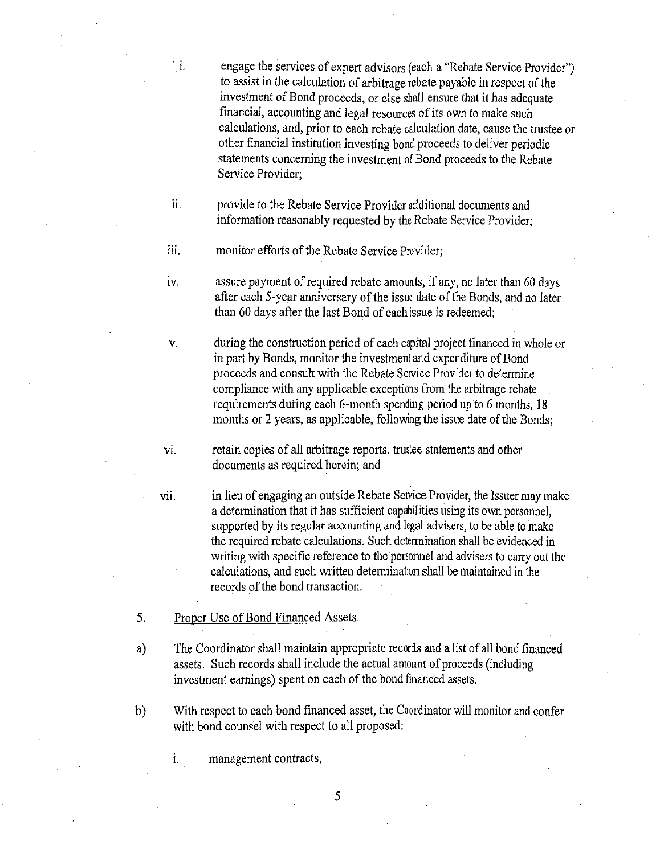· i. engage the services of expert advisors (each a "Rebate Service Provider") to assist in the calculation of arbitrage rebate payable in respect of the investment of Bond proceeds, or else shall ensure that it has adequate financial, accounting and legal resources of its own to make such calculations, and, prior to each rebate calculation date, cause the trustee or other financial institution investing bond proceeds to deliver periodic statements concerning the investment of Bond proceeds to the Rebate Service Provider;

ii. provide to the Rebate Service Provider additional documents and information reasonably requested by the Rebate Service Provider;

iii. monitor efforts of the Rebate Service Provider;

IV. assure payment of required rebate amounts, if any, no later than 60 days after each 5-year anniversary of the issue date of the Bonds, and no later than 60 days after the last Bond of each issue is redeemed;

v. during the construction period of each capital project financed in whole or in part by Bonds, monitor the investment and expenditure of Bond proceeds and consult with the Rebate Sewice Provider to determine compliance with any applicable exceptions from the arbitrage rebate requirements during each 6-month spending period up to 6 months, 18 months or 2 years, as applicable, following the issue date of the Bonds;

vi. retain copies of all arbitrage reports, trustee statements and other documents as required herein; and

vii. in lieu of engaging an outside Rebate Service Provider, the Issuer may make a determination that it has sufficient capabilities using its own personnel, supported by its regular accounting and legal advisers, to be able to make the required rebate calculations. Such determination shall be evidenced in writing with specific reference to the personnel and advisers to carry out the calculations, and such written detennination shall be maintained in the records of the bond transaction.

5. Proper Use of Bond Financed Assets.

a) The Coordinator shall maintain appropriate records and a list of all bond financed assets. Such records shall include the actual amount of proceeds (including investment earnings) spent on each of the bond financed assets.

b) With respect to each bond financed asset, the Coordinator will monitor and confer with bond counsel with respect to all proposed:

i. management contracts,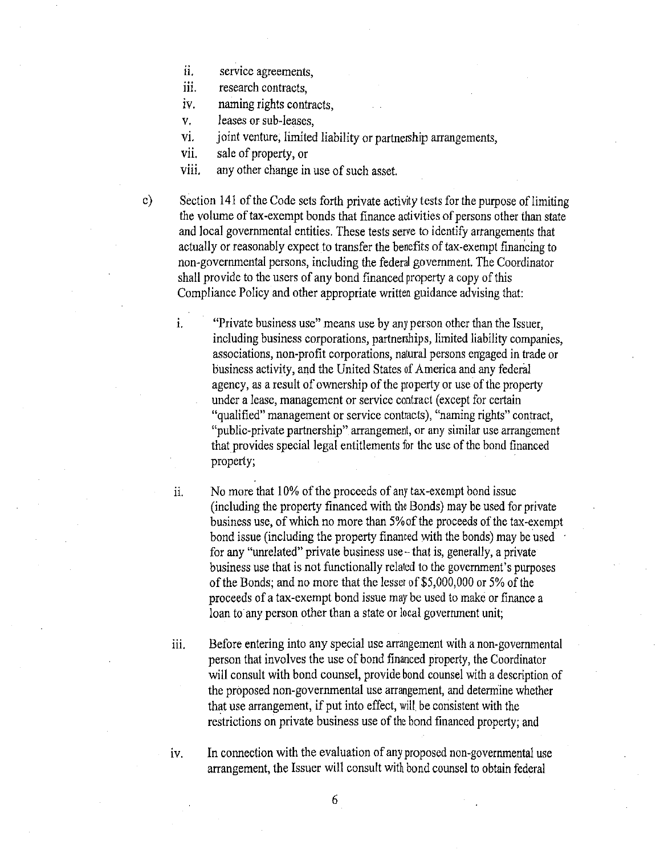- ii. service agreements.
- iii. research contracts,
- iv. naming rights contracts,
- v. leases or sub-leases,
- vi. joint venture, limited liability or partnership arrangements,
- vii. sale of property, or
- viii. any other change in use of such asset.

c) Section 141 of the Code sets forth private activity tests for the purpose of limiting the volume of tax-exempt bonds that finance activities of persons other than state and local governmental entities. These tests serve to identify arrangements that actually or reasonably expect to transfer the benefits of tax-exempt financing to non-governmental persons, including the federal government. The Coordinator shall provide to the users of any bond financed property a copy of this Compliance Policy and other appropriate written guidance advising that:

1. "Private business use" means use by any person other than the Issuer, including business corporations, partnerships, limited liability companies, associations, non-profit corporations, natural persons engaged in trade or business activity, and the United States of America and any federal agency, as a result of ownership of the property or use of the property under a lease, management or service contract (except for certain "qualified" management or service contracts), "naming rights" contract, "public-private partnership" arrangement, or any similar use arrangement that provides special legal entitlements for the use of the bond financed property;

- 11. No more that 10% of the proceeds of any tax-exempt bond issue (including the property financed with the Bonds) may be used for private business use, of which no more than 5% of the proceeds of the tax-exempt bond issue (including the property financed with the bonds) may be used for any "umelated" private business use-that is, generally, a private business use that is not functionally related to the government's purposes of the Bonds; and no more that the lesser of \$5,000,000 or 5% of the proceeds of a tax-exempt bond issue may be used to make or finance a loan to any person other than a state or local government unit;
- 111. Before entering into any special use arrangement with a non-governmental person that involves the use of bond financed property, the Coordinator will consult with bond counsel, provide bond counsel with a description of the proposed non-governmental use arrangement, and determine whether that use arrangement, if put into effect, will be consistent with the restrictions on private business use of the bond financed property; and

1v. In connection with the evaluation of any proposed non-governmental use arrangement, the Issuer will consult with bond counsel to obtain federal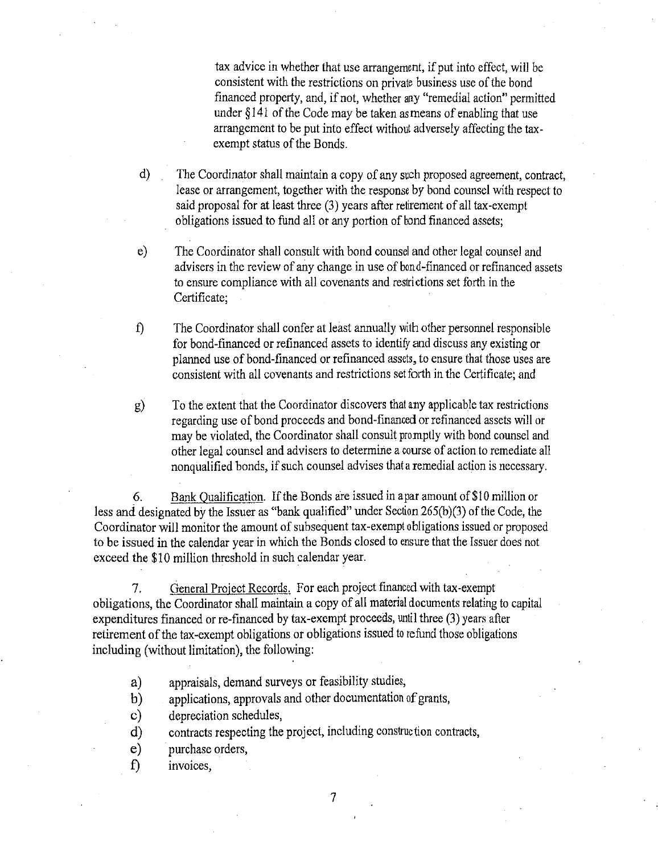tax advice in whether that use arrangement, if put into effect, will be consistent with the restrictions on private business use of the bond financed property, and, if not, whether any "remedial action" permitted under *§* 141 of the Code may be taken as means of enabling that use arrangement to be put into effect without adversely affecting the taxexempt status of the Bonds.

d) The Coordinator shall maintain a copy of any such proposed agreement, contract, lease or arrangement, together with the response *by* bond counsel with respect to said proposal for at least three (3) years after retirement of all tax-exempt obligations issued to fund all or any portion of bond financed assets;

- e) The Coordinator shall consult with bond counsel and other legal counsel and advisers in the review of any change in use of bond-financed or refinanced assets to ensure compliance with all covenants and restrictions set forth in the Certificate;
- f) The Coordinator shall confer at least annually with other personnel responsible for bond-financed or refinanced assets to identify and discuss any existing or planned use of bond-financed or refinanced assets, to ensure that those uses are consistent with all covenants and restrictions set forth in the Certificate; and
- g) To the extent that the Coordinator discovers that any applicable tax restrictions regarding use of bond proceeds and bond-financed or refinanced assets will or may be violated, the Coordinator shall consult promptly with bond counsel and other legal counsel and advisers to determine a course of action to remediate all nonqualified bonds, if such counsel advises that a remedial action is necessary.

6. Bank Qualification. If the Bonds are issued in a par amount of \$10 million or less and designated by the Issuer as "bank qualified" under Section 265(b)(3) of the Code, the Coordinator will monitor the amount of subsequent tax-exempt obligations issued or proposed to be issued in the calendar year in which the Bonds closed to ensure that the Issuer does not exceed the \$10 million threshold in such calendar year.

7. General Project Records. For each project fmanced with tax-exempt obligations, the Coordinator shall maintain a copy of all material documents relating to capital expenditures financed or re-financed by tax-exempt proceeds, until three (3) years after retirement of the tax-exempt obligations or obligations issued to refund those obligations including (without limitation), the following:

- a) appraisals, demand surveys or feasibility studies,
- b) applications, approvals and other documentation of grants,
- c) depreciation schedules,
- d) contracts respecting the project, including construction contracts,
- e) purchase orders,
- f) invoices,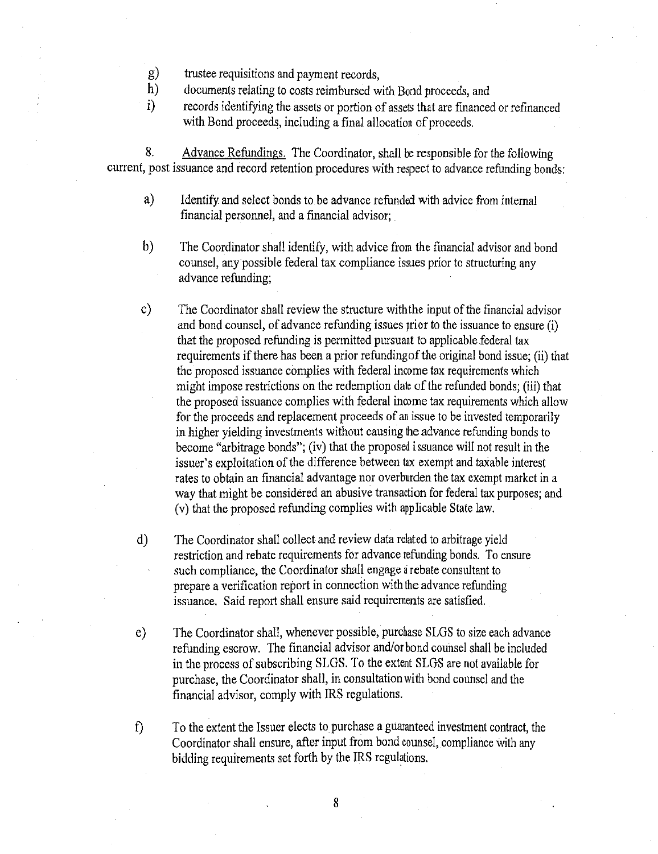- g) trustee requisitions and payment records,<br>h) documents relating to costs reimbursed w
- h) documents relating to costs reimbursed with Bond proceeds, and<br>i) ecords identifying the assets or portion of assets that are financed
- i) records identifying the assets or portion of assets that are financed or refinanced with Bond proceeds, including a final allocation of proceeds.

8. Advance Refundings. The Coordinator, shall be responsible for the following current, post issuance and record retention procedures with respect to advance refunding bonds:

- a) Identify and select bonds to be advance refunded with advice from internal financial personnel, and a financial advisor;
- b) The Coordinator shall identify, with advice from the financial advisor and bond counsel, any possible federal tax compliance issues prior to structuring any advance refunding;
- c) The Coordinator shall review the structure with the input of the financial advisor and bond counsel, of advance refunding issues prior to the issuance to ensure (i) that the proposed refunding is permitted pursuant to applicable federal tax requirements if there has been a prior refunding of the original bond issue; (ii) that the proposed issuance complies with federal income tax requirements which might impose restrictions on the redemption date of the refunded bonds; (iii) that the proposed issuance complies with federal income tax requirements which allow for the proceeds and replacement proceeds of an issue to be invested temporarily in higher yielding investments without causing the advance refunding bonds to become "arbitrage bonds"; (iv) that the proposed issuance will not result in the issuer's exploitation of the difference between tax exempt and taxable interest rates to obtain an financial advantage nor overburden the tax exempt market in a way that might be considered an abusive transaction for federal tax purposes; and (v) that the proposed refunding complies with applicable State law.
- d) The Coordinator shall collect and review data related to arbitrage yield restriction and rebate requirements for advance refunding bonds. To ensure such compliance, the Coordinator shall engage a rebate consultant to prepare a verification report in connection with the advance refunding issuance. Said report shall ensure said requirements are satisfied.
- e) The Coordinator shall, whenever possible, purchase SLGS to size each advance refunding escrow. The financial advisor and/or bond counsel shall be included in the process of subscribing SLGS. To the extent SLGS are not available for purchase, the Coordinator shall, in consultation with bond counsel and the financial advisor, comply with IRS regulations.
- f) To the extent the Issuer elects to purchase a guaranteed investment contract, the Coordinator shall ensure, after input from bond counsel, compliance with any bidding requirements set forth by the IRS regulations.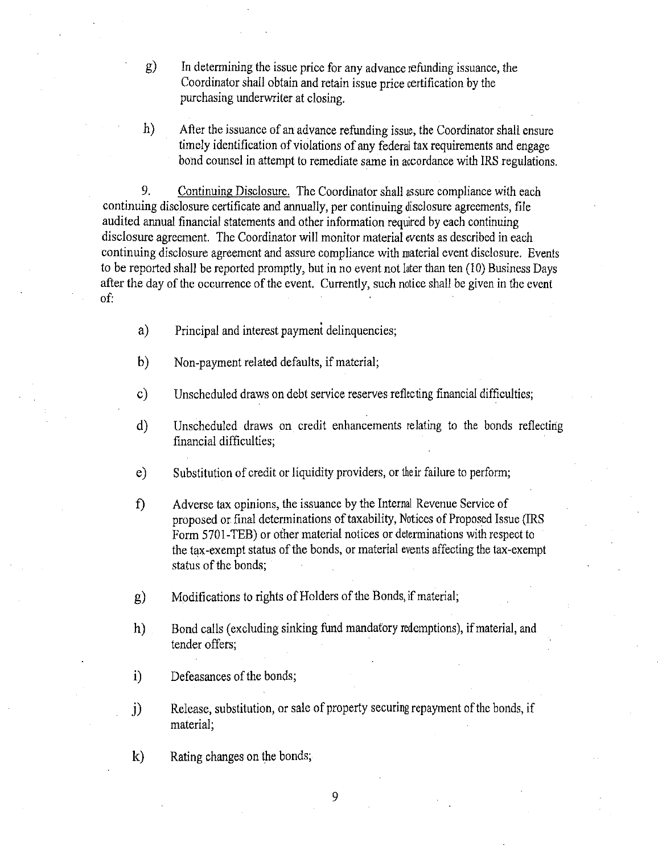g) In determining the issue price for any advance refunding issuance, the Coordinator shall obtain and retain issue price certification by the purchasing underwriter at closing.

h) After the issuance of an advance refunding issue, the Coordinator shall ensure timely identification of violations of any federal tax requirements and engage bond counsel in attempt to remediate same in accordance with IRS regulations.

9. Continuing Disclosure. The Coordinator shall assure compliance with each continuing disclosure certificate and annually, per continuing disclosure agreements, file audited annual financial statements and other information required by each continuing disclosure agreement. The Coordinator will monitor material events as described in each continuing disclosure agreement and assure compliance with material event disclosure. Events to be reported shall be reported promptly, but in no event not later than ten (10) Business Days after the day of the occurrence of the event. Currently, such notice shall be given in the event of:

- a) Principal and interest payment delinquencies;
- b) Non-payment related defaults, if material;
- c) Unscheduled draws on debt service reserves reflecting financial difficulties;
- d) Unscheduled draws on credit enhancements relating to the bonds reflecting financial difficulties;
- e) Substitution of credit or liquidity providers, or their failure to perform;
- f) Adverse tax opinions, the issuance by the Internal Revenue Service of proposed or final determinations of taxability, Notices of Proposed Issue (IRS Form 5701-TEB) or other material notices or determinations with respect to the tax-exempt status of the bonds, or material events affecting the tax-exempt status of the bonds;
- g) Modifications to rights of Holders of the Bonds, if material;
- h) Bond calls (excluding sinking fund mandatory redemptions), if material, and tender offers;
- i) Defeasances of the bonds;
- j) Release, substitution, or sale of property securing repayment of the bonds, if material;
- k) Rating changes on the bonds;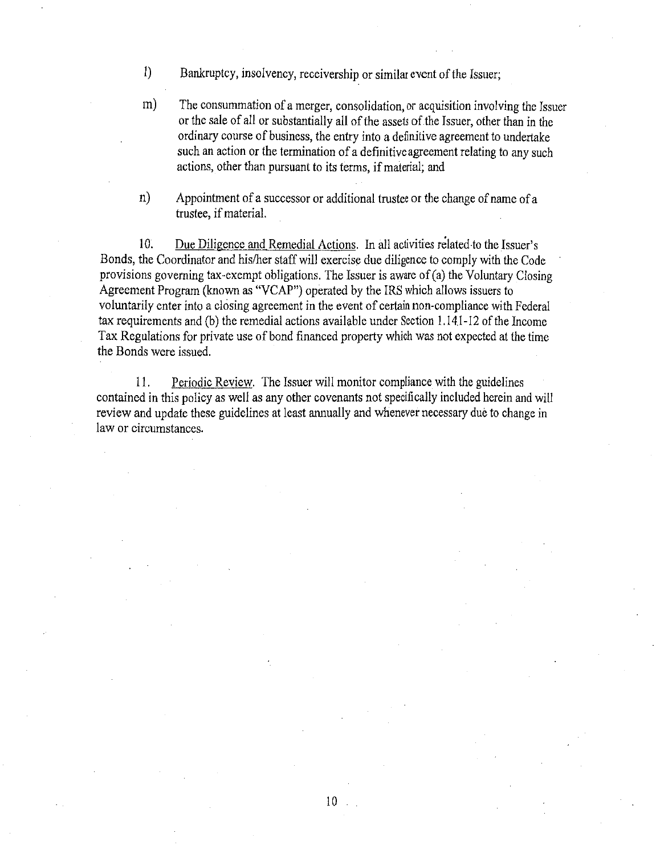- 1) Bankruptcy, insolvency, receivership or similar event of the Issuer;
- m) The consummation of a merger, consolidation, or acquisition involving the Issuer or the sale of all or substantially all of the assets of the Issuer, other than in the ordinary course of business, the entry into a definitive agreement to undertake such an action or the termination of a definitive agreement relating to any such actions, other than pursuant to its terms, if material; and
- n) Appointment of a successor or additional trustee or the change of name of a trustee, if material.

10. Due Diligence and Remedial Actions. In all activities related to the Issuer's Bonds, the Coordinator and his/her staff will exercise due diligence to comply with the Code provisions governing tax-exempt obligations. The Issuer is aware of  $(a)$  the Voluntary Closing Agreement Program (known as "VCAP") operated by the IRS which allows issuers to voluntarily enter into a closing agreement in the event of certain non-compliance with Federal tax requirements and (b) the remedial actions available under Section 1.1 4.1-12 of the Income Tax Regulations for private use of bond financed property which was not expected at the time the Bonds were issued.

11. Periodic Review. The Issuer will monitor compliance with the guidelines contained in this policy as well as any other covenants not specifically included herein and will review and update these guidelines at least annually and whenever necessary due to change in law or circumstances.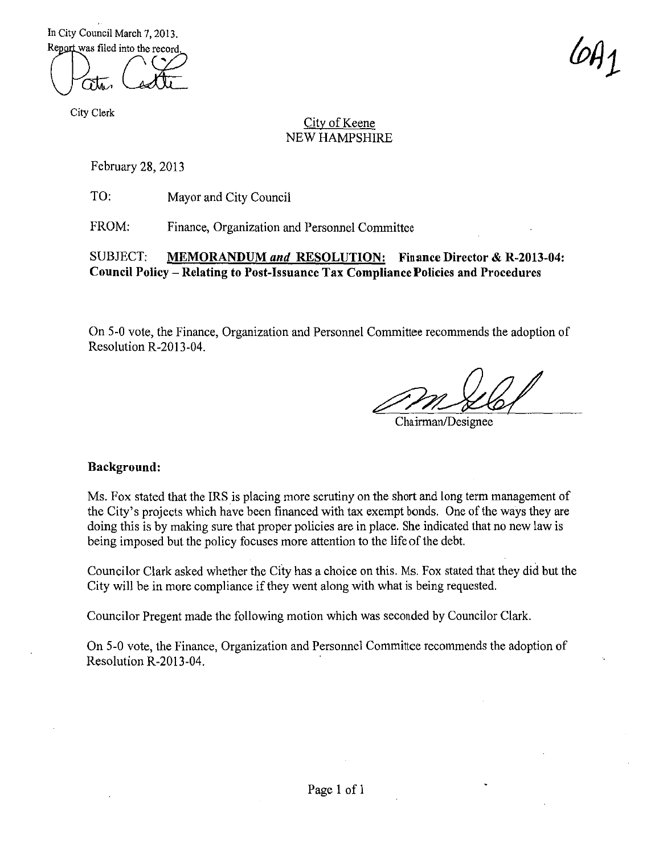In City Council March 7, 2013. Report was filed into the record

 $(\bigcup_{\sigma\vdash}(\bigvee_{\sigma\vdash} \sigma)$ 

City Clerk

# City of Keene NEW HAMPSHIRE

February 28, 2013

TO: Mayor and City Council

FROM: Finance, Organization and Personnel Committee

# SUBJECT: **MEMORANDUM** *and* **RESOLUTION: Finance Director & R-2013-04: Council Policy- Relating to Post-Issuance Tax Compliance Policies and Procedures**

On 5-0 vote, the Finance, Organization and Personnel Committee recommends the adoption of Resolution R-2013-04.

Chairman/Designee

### **Background:**

Ms. Fox stated that the IRS is placing more scrutiny on the short and long term management of the City's projects which have been financed with tax exempt bonds. One of the ways they are doing this is by making sure that proper policies are in place. She indicated that no new law is being imposed but the policy focuses more attention to the life of the debt.

Councilor Clark asked whether the City has a choice on this. Ms. Fox stated that they did but the City will be in more compliance if they went along with what is being requested.

Councilor Pregent made the following motion which was seconded by Councilor Clark.

On 5-0 vote, the Finance, Organization and Personnel Committee recommends the adoption of Resolution R-2013-04.